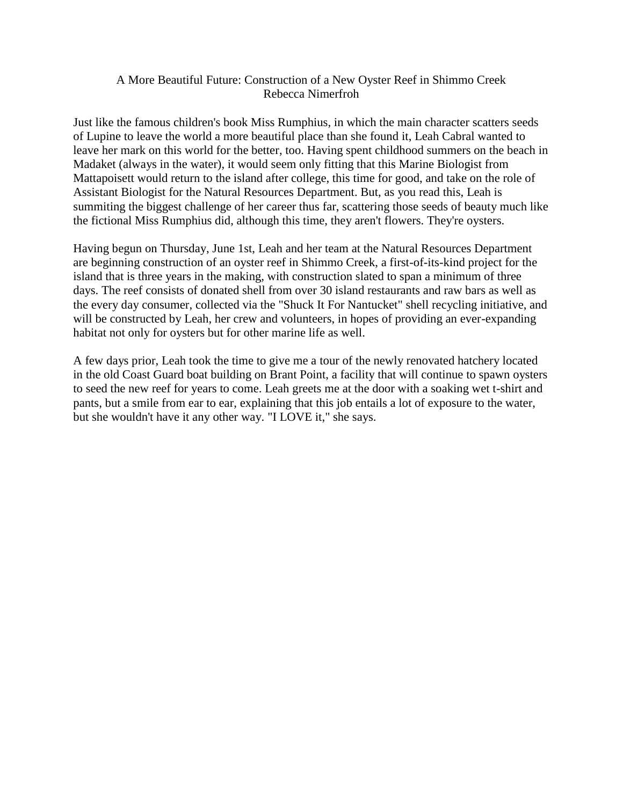## A More Beautiful Future: Construction of a New Oyster Reef in Shimmo Creek Rebecca Nimerfroh

Just like the famous children's book Miss Rumphius, in which the main character scatters seeds of Lupine to leave the world a more beautiful place than she found it, Leah Cabral wanted to leave her mark on this world for the better, too. Having spent childhood summers on the beach in Madaket (always in the water), it would seem only fitting that this Marine Biologist from Mattapoisett would return to the island after college, this time for good, and take on the role of Assistant Biologist for the Natural Resources Department. But, as you read this, Leah is summiting the biggest challenge of her career thus far, scattering those seeds of beauty much like the fictional Miss Rumphius did, although this time, they aren't flowers. They're oysters.

Having begun on Thursday, June 1st, Leah and her team at the Natural Resources Department are beginning construction of an oyster reef in Shimmo Creek, a first-of-its-kind project for the island that is three years in the making, with construction slated to span a minimum of three days. The reef consists of donated shell from over 30 island restaurants and raw bars as well as the every day consumer, collected via the "Shuck It For Nantucket" shell recycling initiative, and will be constructed by Leah, her crew and volunteers, in hopes of providing an ever-expanding habitat not only for oysters but for other marine life as well.

A few days prior, Leah took the time to give me a tour of the newly renovated hatchery located in the old Coast Guard boat building on Brant Point, a facility that will continue to spawn oysters to seed the new reef for years to come. Leah greets me at the door with a soaking wet t-shirt and pants, but a smile from ear to ear, explaining that this job entails a lot of exposure to the water, but she wouldn't have it any other way. "I LOVE it," she says.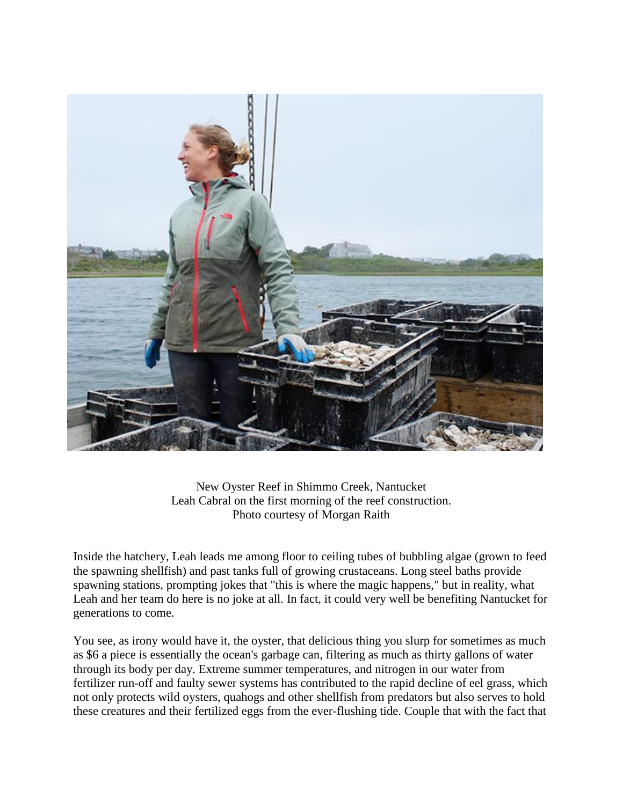

New Oyster Reef in Shimmo Creek, Nantucket Leah Cabral on the first morning of the reef construction. Photo courtesy of Morgan Raith

Inside the hatchery, Leah leads me among floor to ceiling tubes of bubbling algae (grown to feed the spawning shellfish) and past tanks full of growing crustaceans. Long steel baths provide spawning stations, prompting jokes that "this is where the magic happens," but in reality, what Leah and her team do here is no joke at all. In fact, it could very well be benefiting Nantucket for generations to come.

You see, as irony would have it, the oyster, that delicious thing you slurp for sometimes as much as \$6 a piece is essentially the ocean's garbage can, filtering as much as thirty gallons of water through its body per day. Extreme summer temperatures, and nitrogen in our water from fertilizer run-off and faulty sewer systems has contributed to the rapid decline of eel grass, which not only protects wild oysters, quahogs and other shellfish from predators but also serves to hold these creatures and their fertilized eggs from the ever-flushing tide. Couple that with the fact that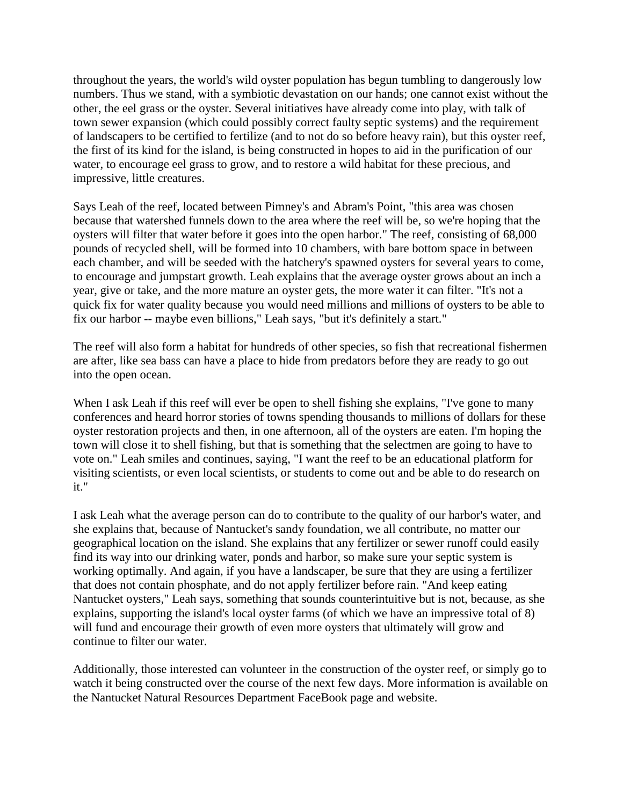throughout the years, the world's wild oyster population has begun tumbling to dangerously low numbers. Thus we stand, with a symbiotic devastation on our hands; one cannot exist without the other, the eel grass or the oyster. Several initiatives have already come into play, with talk of town sewer expansion (which could possibly correct faulty septic systems) and the requirement of landscapers to be certified to fertilize (and to not do so before heavy rain), but this oyster reef, the first of its kind for the island, is being constructed in hopes to aid in the purification of our water, to encourage eel grass to grow, and to restore a wild habitat for these precious, and impressive, little creatures.

Says Leah of the reef, located between Pimney's and Abram's Point, "this area was chosen because that watershed funnels down to the area where the reef will be, so we're hoping that the oysters will filter that water before it goes into the open harbor." The reef, consisting of 68,000 pounds of recycled shell, will be formed into 10 chambers, with bare bottom space in between each chamber, and will be seeded with the hatchery's spawned oysters for several years to come, to encourage and jumpstart growth. Leah explains that the average oyster grows about an inch a year, give or take, and the more mature an oyster gets, the more water it can filter. "It's not a quick fix for water quality because you would need millions and millions of oysters to be able to fix our harbor -- maybe even billions," Leah says, "but it's definitely a start."

The reef will also form a habitat for hundreds of other species, so fish that recreational fishermen are after, like sea bass can have a place to hide from predators before they are ready to go out into the open ocean.

When I ask Leah if this reef will ever be open to shell fishing she explains, "I've gone to many conferences and heard horror stories of towns spending thousands to millions of dollars for these oyster restoration projects and then, in one afternoon, all of the oysters are eaten. I'm hoping the town will close it to shell fishing, but that is something that the selectmen are going to have to vote on." Leah smiles and continues, saying, "I want the reef to be an educational platform for visiting scientists, or even local scientists, or students to come out and be able to do research on it."

I ask Leah what the average person can do to contribute to the quality of our harbor's water, and she explains that, because of Nantucket's sandy foundation, we all contribute, no matter our geographical location on the island. She explains that any fertilizer or sewer runoff could easily find its way into our drinking water, ponds and harbor, so make sure your septic system is working optimally. And again, if you have a landscaper, be sure that they are using a fertilizer that does not contain phosphate, and do not apply fertilizer before rain. "And keep eating Nantucket oysters," Leah says, something that sounds counterintuitive but is not, because, as she explains, supporting the island's local oyster farms (of which we have an impressive total of 8) will fund and encourage their growth of even more oysters that ultimately will grow and continue to filter our water.

Additionally, those interested can volunteer in the construction of the oyster reef, or simply go to watch it being constructed over the course of the next few days. More information is available on the Nantucket Natural Resources Department FaceBook page and website.